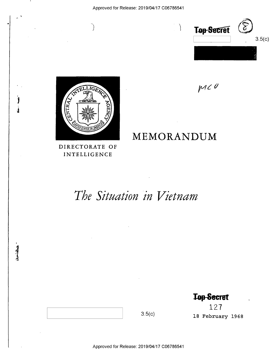

 $MC<sup>0</sup>$ 



'

 $\mathbf{\dot{}}$ 

 $\mathbf{j}$ 

## DIRECTORATE OF INTELLIGENCE

# MEMORANDUM

# The Situation in Vietnam

**Top-Secret** 

127 18 February 1968

Approved for Release: 2019/04/17 C06786541

 $3.5(c)$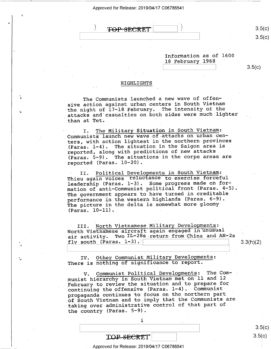(

u

,

¢ . \_ (approved for Release, 2019/04/17 C06766541)<br>3 **TOP SECRET** 

 $\qquad \qquad$   $\qquad \qquad$   $\qquad$   $\qquad$   $\qquad$   $\qquad$   $\qquad$   $\qquad$   $\qquad$   $\qquad$   $\qquad$   $\qquad$   $\qquad$   $\qquad$   $\qquad$   $\qquad$   $\qquad$   $\qquad$   $\qquad$   $\qquad$   $\qquad$   $\qquad$   $\qquad$   $\qquad$   $\qquad$   $\qquad$   $\qquad$   $\qquad$   $\qquad$   $\qquad$   $\qquad$   $\qquad$   $\qquad$   $\qquad$   $\qquad$   $\qquad$ 

 $3.5(c)$  $3.5(c)$ 

Information as of 1600 18 February 1968

 $3.5(c)$ 

#### HIGHLIGHTS

The Communists launched a new wave of offensive action against urban centers in South Vietnam the night of l7-18 February. The intensity of the attacks and casualties on both sides were much lighter than at Tet.

I. The Military Situation in South Vietnam: Communists launch new wave-of,attacks on urban centers, with action lightest in the northern provinces (Paras. l-4). The situation in the Saigon area is reported, along with predictions of new attacks (Paras. 5-9). The situations in the corps areas are reported (Paras. 10-20).

II. Political Developments in South Vietnam: Thieu again voices reluctance to exercise forceful leadership (Paras. 1-3). Some progress made on formation of anti—Communist political front (Paras. 4-5). The government appears to have turned in creditable performance in the.western highlands (Paras. 6-9). The picture in the delta is somewhat more gloomy  $(Paras. 10-11)$ .

III. North Vietnamese Military Developments: North Vietnamese aircraft again engaged in unusual air activity. Two IL-28s return from China and AN—2s fly south  $(Paras. 1-3)$ .

 $3.3(h)(2)$ 

3.5(C)  $3.5(c)$ 

H

IV. Other Communist Military Developments: TV. Other Communist Military Developme.<br>There is nothing of significance to report.

> V. Communist Political Developments: The Communist hierarchy in South Vietnam met on ll and <sup>12</sup> February to review the situation and to prepare for continuing the offensive (Paras. 1-4). Communist propaganda continues to focus on the northern part of South Vietnam and to imply that the Communists are taking over administrative control of that part of the country (Paras.  $5-9$ ).

> > i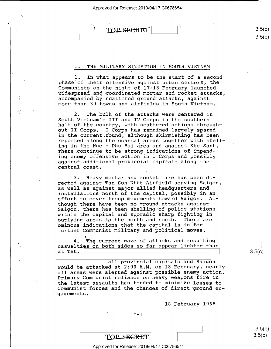TOP SECRET

\

0

 $\mathbb{R}^2$ 

 $\ddot{\phantom{a}}$ 

#### I. THE MILITARY SITUATION IN SOUTH VIETNAM

F

l. In what appears to be the start of a second phase of their offensive against urban centers, the Communists on the night of 17-18 February launched widespread and coordinated mortar and rocket attacks, accompanied by scattered ground attacks, against more than 30 towns and airfields in South Vietnam.

2. The bulk of the attacks were centered in South Vietnam's III and IV Corps in the southern half of the country, with scattered actions throughout II Corps. I Corps has remained largely spared in the current round, although skirmishing has been reported along the coastal areas together with shelling in the Hue — Phu Bai area and against Khe Sanh. There continue to be strong indications of impending enemy offensive action in I Corps and possibly against additional provincial capitals along the central coast.

3. Heavy mortar and rocket fire has been directed against Tan Son Nhut Airfield serving Saigon, as well as against major allied headquarters and installations north of the capital, possibly in an effort to cover troop movements toward Saigon. Although there have been no ground attacks against Saigon, there has been shelling of police stations within the capital and sporadic sharp fighting in outlying areas to the north and south. There are ominous indications that the capital is in for further Communist military.and political moves.

The current wave of attacks and resulting casualties on both sides so far appear lighter than at Tet.

all provincial capitals and Saigon would be attacked at  $2:00$  A.M. on 18 February, nearly all areas were alerted against possible enemy action. Primary Communist reliance on heavy weapons fire in the latest assaults has tended to minimize losses to Communist forces and the chances of direct ground engagements. .

l8 February 1968

#### $I-I$

ত.  $3.5 \, (C)$ 

### TOP SEGRET

#### ' Approved for Release: 2019/04/17 C06786541

 $3.5(c)$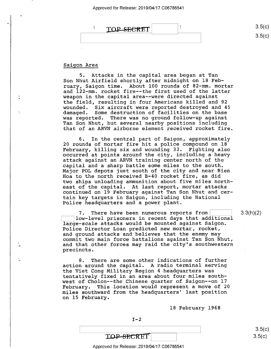

#### Saigon Area

 $\mathcal{L}$ 

÷.

5. Attacks in the capital area began at Tan Son Nhut Airfield shortly after midnight on 18 February, Saigon time. About 100 rounds of 82—mm. mortar and l22—mm. rocket fire-—the first used of the latter weapon in the capital area-—were directed against the field, resulting in four Americans killed and 92 wounded. Six aircraft were reported destroyed and 45 damaged. Some destruction of facilities on the base was reported. There was no ground follow—up against Tan Son Nhut, but several nearby positions including that of an ARVN airborne element received rocket fire.

6. In the central.part of Saigon, approximately 20 rounds-of mortar fire hit a police compound on l8 February, killing six and wounding 33. Fighting also occurred at points around the city, including a heavy attack against an ARVN training center north of the capital and a sharp battle some miles to the south. Major POL depots just south of the city and near Bien Hoa to the north received B-40 rocket fire, as did. two ships unloading ammunition about five miles northeast of the capital. At last report, mortar attacks continued on 19 February against Tan Son Nhut and certain key targets in Saigon, including the National Police headquarters and a power plant.

7. There have been numerous reports from [150]<br>low-level prisoners in recent days that additional large—scale attacks would be mounted against Saigon. Police Director Loan.predicted new mortar, rocket, and ground attacks and believes that the enemy may commit two main force battalions against Tan Son Nhut, and that other forces may raid the city's southwestern precincts.

8. There are some other indications of further action around the capital. A radio terminal serving the Viet Cong Military Region 4-headquarters was tentatively fixed in an area about four miles southwest of Cholon--the Chinese-quarter of Saigon--on 17 February. This location would represent a move of 20 miles southward.from the headquarters' last position on l5 February.

18 February 1968

 $I-2$ 

 $3.5(c)$  $3.5(c)$ 

3.3(h)(2)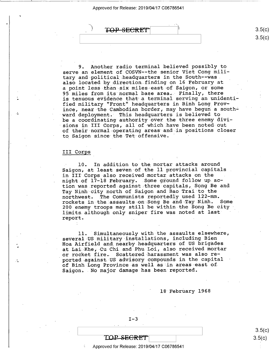TOP SECRET

9. Another radio terminal believed possibly to serve an element of COSVN--the senior Viet Cong military and political headquarters in the South--was. also located by direction finding on 16 February at a point less-than six miles east of Saigon, or some 95 miles from its normal base area. Finally, there is tenuous evidence that a terminal serving an unidentified military "Front" headquarters in Binh Long\_Prov ince, near the Cambodian border, may have begun a southward deployment. This headquarters is believed to be a coordinating authority over the three enemy divisions in III Corps, all of which have been noted out of their normal operating areas and in positions closer to Saigon since the Tet offensive. '

#### III Corps

10. In addition to the mortar attacks around Saigon, at least seven of the 11 provincial capitals . in III Corps also received mortar attacks on the night of 17-18 February. Some ground follow up action was reported against three-capitals, Song Be and Tay Ninh city north of Saigon and Bao Trai to the northwest. The Communists reportedly used 122-mm.<br>rockets in the assaults on Song Be and Tay Ninh. Some rockets in the assaults on Song Be and Tay Ninh. 200 enemy troops may still be within the Song Be city limits although only sniper fire was noted at last report. .\_

ll. 'Simultaneously with the assaults elsewhere, several US military installations, including Bien Hoa Airfield and nearby headquarters of US brigades at Lai Khe, Cu Chi and Phu Loi, also received mortar or rocket fire. Scattered harassment was also reported against US advisory compounds in the capital of Binh Long Province as well as in areas east of Saigon. No major damage has been reported.

18 February 1968

 $I-3$ 

3.5(C)  $3.5(c)$ 

 $3.5(c$ 

)

 $3.5(c)$ 

## TOP-SE<del>CRET</del>

#### Approved for Release: 2019/04/17 C06786541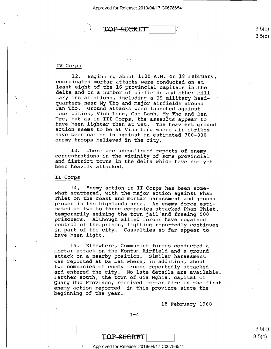

#### IV Corps

 $\mathbf{A}$ 

12. Beginning about 1:00 A.M. on 18 February, coordinated mortar attacks were conducted on at least eight of the 16 provincial capitals in the delta and on a number of airfields and other mili-<br>tary installations, includin quarters near My Tho and major airfields around<br>Can Tho. Ground attacks were launched against<br>four cities, Vinh Long, Cao Lanh, My Tho and Ben<br>Tre, but as in III Corps, the assaults appear to have been lighter than at Tet. The heaviest ground<br>action seems to be at Vinh Long where air strikes<br>have been called in against an estimated 700-800<br>enemy troops believed in the city.

13. There are unconfirmed reports of enemy concentrations in the vicinity of some provincial and district towns in the delta which have not yet been heavily attacked. '

#### II Corps

14. Enemy action in II Corps has been some-<br>what scattered, with the major action against Phan<br>Thiet on the coast and mortar harassment and ground<br>probes in the highlands area. An enemy force esti-<br>mated at two to three co in part of the city. Casualties so far appear to have been light.

15. Elsewhere, Communist forces conducted a<br>mortar attack on the Kontum Airfield and a ground<br>attack on a nearby position. Similar harassment was reported at Da Lat where, in addition, about two companies of enemy troops reportedly attacked<br>and entered the city. No late details are available. Farther south, the town of Gia Nghia, capital of<br>Quang Duc Province, received mortar fire in the first enemy action reported in this province since the beginning of the year.

18 February 1968

 $I-4$ 

TOP-SECRET

 $3.5(c)$  $3.5(c)$ 

Approved for Release: 2019/04/17 C06786541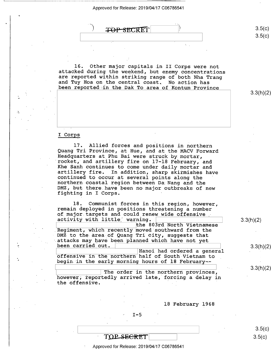$\rightarrow$ **TOP SECRET** 

16. Other major capitals in II Corps were not<br>attacked during the weekend, but enemy concentrations<br>are reported within striking range of both Nha Trang<br>and Tuy Hoa on the central coast. No action has<br>been reported in the

3.3(h)(2)

 $3.5(c)$  $3.5 (c)$ 

#### I Corps

17. Allied forces and positions in northern<br>Quang Tri Province, at Hue, and at the MACV Forward Headquarters at Phu Bai were struck by mortar,<br>rocket, and artillery fire on 17-18 February, and<br>Khe Sanh continues to come under daily mortar and<br>artillery fire. In addition, sharp skirmishes have<br>continued to occur at se northern coastal region between Da Nang and the DMZ, but there have been no major outbreaks of new fighting in I Corps.

18, Communist forces in this region, however, remain deployed in positions threatening a number of major targets and could renew wide offensive

the 803rd North Vietnamese Regiment, which recently moved southward from the DMZ to the area of Quang Tri city, suggests that attacks may have been planned which have not yet<br>been carried out. |<br>| Hanoi had ordered a general

offensive in the northern half of South Vietnam to begin in the early morning hours of 18 February--

 $\boxed{\hspace{1.5cm}}$  The order in the northern provinces, however, reportedly arrived late, forcing a delay in the offensive. .  $\mathcal{L}_{\mathcal{A}}$  is the set of  $\mathcal{L}_{\mathcal{A}}$  is the set of  $\mathcal{L}_{\mathcal{A}}$ 

18 February 1968

#### $I - 5$

TOP SECRET

<sup>=</sup>Approved for Release: 2019/04/17 C06786541

3.3(h)(2)

3.3(h)(2)

3.3(h)(2)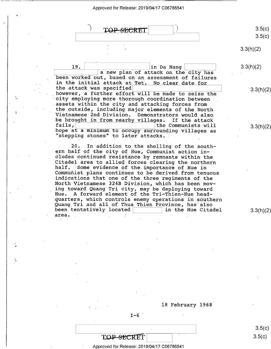

3.3(h)(2)

18 February 1968

 $I-6$ 

TOP-SECRET

Approved for Release: 2019/04/17 C06786541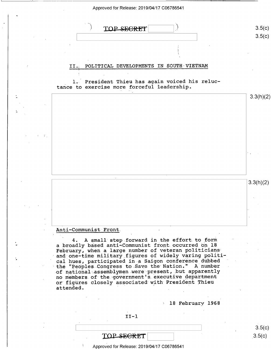

#### Anti-Communist"Front.

4. A small step forward in the effort to form a broadly based anti~Communist front.occurred on 18 February, when a large number of veteran politicians and one-time military figures of widely varing political hues, participated in a Saigon conference dubbed the "Peoples Congress to Save the Nation." A number -of national assemblymen were present, but apparently no members.of the government's executive department or figures closely associated with President Thieu attended

18 February 1968

 $II-1$ 

| TOP SECRET |  |
|------------|--|

Approved for Release: 2019/04/17 C06786541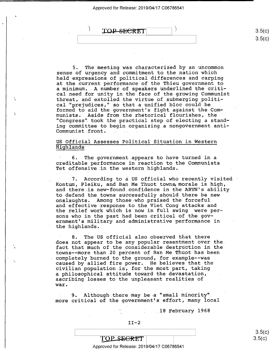$TOP-SECTION$  $\qquad \qquad \text{S. O(C)}$ 

5. The meeting was characterized by an uncommon sense of urgency and commitment to the nation which held expressions of political differences and carping at the current performance of the Thieu government to a minimum...A number of speakers underlined the critical need for unity in the face of the growing Communist threat, and extolled the virtue of submerging political "prejudices," so that a unified bloc could be formed to aid the government's fight against the Communists.. Aside from the rhetorical flourishes, the "Congress" took the practical step of electing a standing committee to begin organizing a nongovernment anti-Communist front.

# US Official Assesses Political Situation in Western<br>Highlands

" 6. The government appears to have turned in a creditable performance in reaction to the Communists Tet offensive in the western highlands.

7. According to a US official who recently visited Kontum, Pleiku, and.Ban Me Thuot towns,morale is high, and there is new-found confidence in the ARVN's ability to defend the towns successfully should there be new onslaughts. Among those»who praised the forceful and effective response to the Viet Cong attacks and the relief work which is now in full swing were persons who in the past had been critical of the government's military and administrative performance in the highlands.

8. The US official also observed that there does not appear to be any popular resentment over the fact that much of the considerable destruction in the towns--more than 20 percent of Ban Me Thuot has been completely burned to the ground, for example--was caused by allied fire power. He believes that the civilian population is, for the most part, taking a philosophical attitude toward the devastation, ascribing losses to the unpleasant realities of war.

9. Although there may be a "small minority" more critical of the government's effort, many local

18 February 1968

"'

TOP SEGRET \ \ Approved for Release: 2019/04/17 C06786541

 $3.5(c)$  $3.5(c)$ 

 $\sqrt{2}$  $3.5(c)$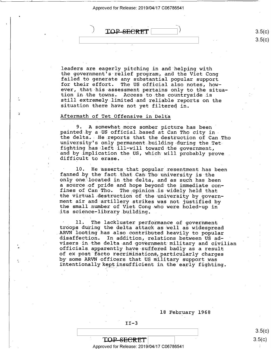TOP SECRET

\_ \_ F

leaders are eagerly pitching in and helping with<br>the government's relief program, and the Viet Cong failed to generate any substantial popular support for their effort. The US official also notes, how-<br>ever, that his assessment pertains only to the situation in the towns. Access to the countryside is<br>still extremely limited and reliable reports on the situation there have not yet filtered in.

#### Aftermath of Tet Offensive in Delta

4

9. A somewhat more somber picture has been<br>painted by a US official based at Can Tho city in-<br>the delta. He reports that the destruction of Can Tho university's only permanent building during the Tet<br>fighting has left ill-will toward the government, and by implication the US, which will probably prove .<br>difficult to erase.

10. He asserts that popular resentment has been fanned by the fact that Can Tho university is the only one located in the delta, and as such has been a source of pride and hope beyond the immediate confines of Can Tho. The opinion is widely held that<br>the virtual destruction of the university by government air and artillery strikes was not justified by<br>the small number of Viet Cong who were holed-up in its science—library.building. .

11. The lackluster performance of government<br>troops during the delta attack as well as widespread<br>ARVN looting has also-contributed heavily to popular<br>disaffection. In addition, relations between US ad-<br>visers in the delta officials apparently have suffered badly as a result of ex post facto recriminations, particularly charges<br>by some ARVN officers that US military support was intentionally kept insufficient in the early fighting.

18 February 1968



 $3.5(c)$  $\text{TOP-SEERET}$  3.5(c)

 $\sqrt{ }$ 

 $\Big]$  3.5(c)

Approved for Release: 2019/04/17 C06786541 \*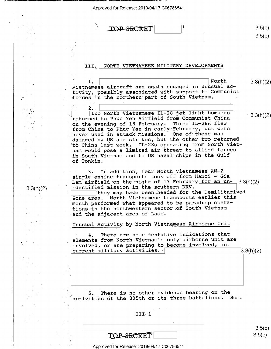\_, \_7 r \_1.\_\_ \_\_\_, \_ \_\_\_\_ \_ \_\_\_ 7 \_\_ \_ \_ \ \_ \_\_ \_\_\_\_\_\_\_\_\_ <sup>i</sup> \_

 $\ddot{\phantom{0}}$ 

 $\sim$   $\sim$ 

l,

I

' ,

|           | TOP SECRE                                                                                                                                                                                                                                                                                                                       | 3.5(c)<br>3.5(c) |
|-----------|---------------------------------------------------------------------------------------------------------------------------------------------------------------------------------------------------------------------------------------------------------------------------------------------------------------------------------|------------------|
|           |                                                                                                                                                                                                                                                                                                                                 |                  |
|           |                                                                                                                                                                                                                                                                                                                                 |                  |
|           | NORTH VIETNAMESE MILITARY DEVELOPMENTS<br>III.                                                                                                                                                                                                                                                                                  |                  |
|           |                                                                                                                                                                                                                                                                                                                                 |                  |
|           | North<br>ı.<br>Vietnamese aircraft are again engaged in unusual ac-<br>tivity, possibly associated with support to Communist<br>forces in the northern part of South Vietnam.                                                                                                                                                   | 3.3(h)(2)        |
|           | $2.$ .                                                                                                                                                                                                                                                                                                                          |                  |
|           | two North Vietnamese IL-28 jet light bombers<br>returned to Phuc Yen Airfield from Communist China<br>Three IL-28s flew<br>on the evening of 18 February.<br>from China to Phuc Yen in early February, but were.<br>never used in attack missions.<br>One of these was<br>damaged by US air strikes, but the other two returned | 3.3(h)(2)        |
|           | to China last week. IL-28s operating from North Viet-<br>nam would pose a limited air threat to allied forces<br>in South Vietnam and to US naval ships in the Gulf<br>of Tonkin.                                                                                                                                               |                  |
| 3.3(h)(2) | 3. In addition, four North Vietnamese AN-2<br>single-engine transports took off from Hanoi - Gia<br>Lam airfield on the night of 17 February for an un-<br>identified mission in the southern DRV.<br>they may have been headed for the Demilitarized                                                                           | 3.3(h)(2)        |
|           | North Vietnamese transports earlier this<br>Zone area.<br>month performed what appeared to be paradrop opera-<br>tions in the northwestern sector of South Vietnam<br>and the adjacent area of Laos.                                                                                                                            |                  |
|           | Unusual Activity by North Vietnamese Airborne Unit                                                                                                                                                                                                                                                                              |                  |
|           | There are some tentative indications that<br>4.<br>elements from North Vietnam's only airborne unit are<br>involved, or are preparing to become involved, in<br>current military activities.                                                                                                                                    | 3.3(h)(2)        |
|           |                                                                                                                                                                                                                                                                                                                                 |                  |
|           | There is no other evidence bearing on the<br>5.<br>activities of the 305th or its three battalions.<br>Some                                                                                                                                                                                                                     |                  |
|           |                                                                                                                                                                                                                                                                                                                                 |                  |
|           | $III-1$                                                                                                                                                                                                                                                                                                                         |                  |
|           | TOP SECRET                                                                                                                                                                                                                                                                                                                      | 3.5(c)<br>3.5(c) |
|           |                                                                                                                                                                                                                                                                                                                                 |                  |
|           | Approved for Release: 2019/04/17 C06786541                                                                                                                                                                                                                                                                                      |                  |

| <b>TOP-SECRET</b> |  |
|-------------------|--|
|                   |  |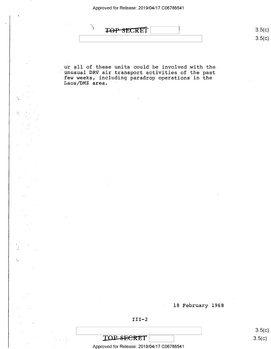

 $\begin{bmatrix} \overline{S} & \overline{S} \end{bmatrix}$  s.5(c)  $3.5(c)$ OO

or all of these units could be involved with the-'unusual DRV air transport activities of the past few weeks, including paradrop operations in the Laos/DMZ area.

18 February 1968



TOP SECRET

Approved for Release: 2019/04/17 C06786541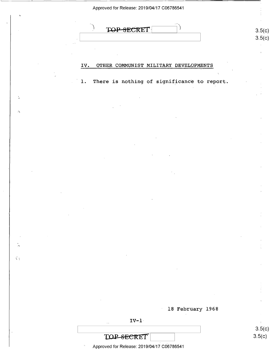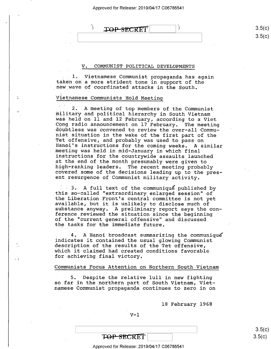### $\text{TOP-SPACE}$   $\qquad \qquad$  3.5(c)

 $3.5(c)$ 

#### COMMUNIST POLITICAL DEVELOPMENTS

1. Vietnamese Communist propaganda has again taken on a more strident tone in support of the new wave of coordinated attacks in the South.

#### Vietnamese Communists Hold Meeting

2. A meeting of top members of the Communist<br>military and political hierarchy in South Vietnam was held on 11 and 12 February, according to a Viet<br>Cong radio announcement on 17 February. The meeting<br>doubtless was convened to review the over-all Commu-<br>nist situation in the wake of the first part of the<br>Tet offensive high-ranking leaders. The recent meeting probably<br>covered some of the decisions leading up to the present resurgence of Communist military activity.

3. A full text of the communique published by this so-called "extraordinary enlarged session" of the Liberation Front's central committee is not yet available, but it is unlikely to disclose much of<br>substance anyway. A preliminary report says the conference reviewed the situation since the beginning of the "current general offensive" and discussed the tasks for the immediate future.

4. A Hanoi broadcast summarizing the communique<br>indicates it contained the usual glowing Communist<br>description of the results of the Tet offensive, which it claimed had created conditions favorable for achieving final victory.

#### Communists Focus Attention on Northern South-Vietnam

 $\ddot{\phantom{1}}$ 

 $\mathcal{H}$ 

5. Despite the relative lull in new fighting so far in the northern part of South Vietnam, Vietnamese Communist propaganda continues to zero in on

l8 February 1968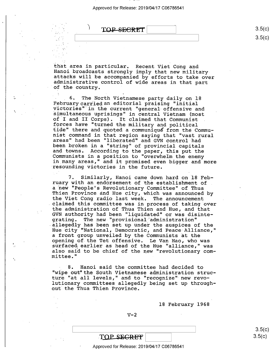TOP SECRET

ડ.ગ(  $\sim$  s.5(c)  $\,\,\sim\,$ 

that area in particular. Recent Viet Cong and Hanoi broadcasts strongly imply that new military attacks will be accompanied by efforts to take over administrative control of wide areas in that part of the country. '

6. The North Vietnamese party daily on 18<br>February carried an editorial praising "initial<br>victories" in the current "general offensive and<br>simultaneous uprisings" in central Vietnam (most<br>of I and II Corps). It claimed tha tide" there and quoted a communiqué from the Commu-<br>nist command in that region saying that "vast rural<br>areas" had been "liberated" and GVN control had<br>been broken in a "string" of provincial capitals<br>and towns. According Communists in a position to "overwhelm the enemy<br>in many areas," and it promised even bigger and more<br>resounding victories in the future.

7. Similarly, Hanoi came down hard on l8 February with an endorsement of the establishment of \ a new "People's Revolutionary Committee" of Thua<br>Thien Province and Hue city, which was announced by<br>the Viet Cong radio last week. The announcement claimed this committee was in process of taking over the administration of Thua Thien and Hue, and that GVN.authority had been "liquidated" or was disintegrating. The new "provisional administration" allegedly has been set up under the auspices of the Hue city "National, Democratic, and Peace Alliance,"<br>a front group unveiled by the Communists at the opening of the Tet offensive. Le Van Hao, who was surfaced earlier as head of the Hue "alliance," was also said to be chief of the new "revolutionary com- mittee."

8. Hanoi said the committee had decided to "wipe out" the South Vietnamese administration structure "at all levels," and to "recognize" new revolutionary committees allegedly being set up throughout the Thua Thien Province.

18 February 1968

 $V-2$ 

TOP SEGRET

Approved for Release: 2019/04/17 C06786541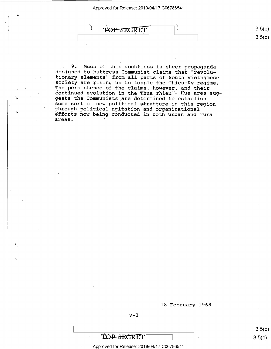\

I

 $\mathbin{\lhd}$ 

 $3.5(c)$ TOP SECRET  $3.5 (c)$ 

9. Much of this doubtless is sheer propaganda designed to buttress Communist claims that "revolu-<br>tionary elements" from all parts of South Vietnamese society are rising up to topple the Thieu-Ky regime.<br>The persistence of the claims, however, and their<br>continued evolution in the Thua Thien - Hue area suggests the Communists are determined to establish<br>some sort of new political structure in this region through political agitation and organizational<br>efforts now being conducted in both urban and rural<br>areas.

.18 February 1968

 $V-3$ 

**TOP-SECRET** 

Approved for Release: 2019/04/17 C06786541